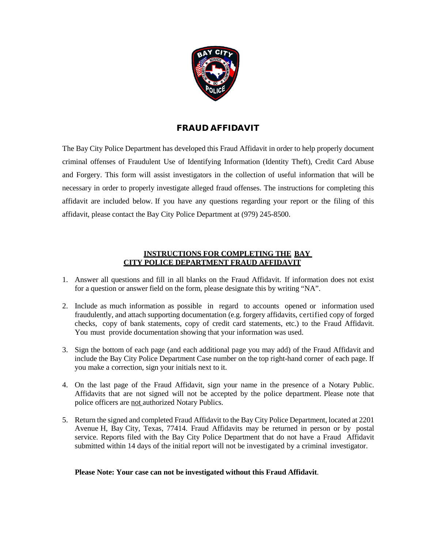

#### FRAUD AFFIDAVIT

The Bay City Police Department has developed this Fraud Affidavit in order to help properly document criminal offenses of Fraudulent Use of Identifying Information (Identity Theft), Credit Card Abuse and Forgery. This form will assist investigators in the collection of useful information that will be necessary in order to properly investigate alleged fraud offenses. The instructions for completing this affidavit are included below. If you have any questions regarding your report or the filing of this affidavit, please contact the Bay City Police Department at (979) 245-8500.

#### **INSTRUCTIONS FOR COMPLETING THE BAY CITY POLICE DEPARTMENT FRAUD AFFIDAVIT**

- 1. Answer all questions and fill in all blanks on the Fraud Affidavit. If information does not exist for a question or answer field on the form, please designate this by writing "NA".
- 2. Include as much information as possible in regard to accounts opened or information used fraudulently, and attach supporting documentation (e.g. forgery affidavits, certified copy of forged checks, copy of bank statements, copy of credit card statements, etc.) to the Fraud Affidavit. You must provide documentation showing that your information was used.
- 3. Sign the bottom of each page (and each additional page you may add) of the Fraud Affidavit and include the Bay City Police Department Case number on the top right-hand corner of each page. If you make a correction, sign your initials next to it.
- 4. On the last page of the Fraud Affidavit, sign your name in the presence of a Notary Public. Affidavits that are not signed will not be accepted by the police department. Please note that police officers are not authorized Notary Publics.
- 5. Return the signed and completed Fraud Affidavit to the Bay City Police Department, located at 2201 Avenue H, Bay City, Texas, 77414. Fraud Affidavits may be returned in person or by postal service. Reports filed with the Bay City Police Department that do not have a Fraud Affidavit submitted within 14 days of the initial report will not be investigated by a criminal investigator.

#### **Please Note: Your case can not be investigated without this Fraud Affidavit**.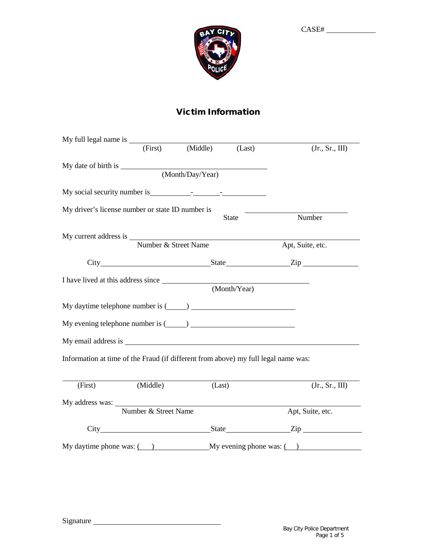

# Victim Information

|         | (First)                                                                            | (Middle)         | (Last)       | (Jr., Sr., III)                                                             |
|---------|------------------------------------------------------------------------------------|------------------|--------------|-----------------------------------------------------------------------------|
|         |                                                                                    |                  |              |                                                                             |
|         |                                                                                    | (Month/Day/Year) |              |                                                                             |
|         |                                                                                    |                  |              |                                                                             |
|         | My driver's license number or state ID number is                                   |                  | <b>State</b> | Number                                                                      |
|         | My current address is Number & Street Name                                         |                  |              |                                                                             |
|         |                                                                                    |                  |              | Apt, Suite, etc.                                                            |
|         |                                                                                    |                  |              |                                                                             |
|         |                                                                                    |                  | (Month/Year) |                                                                             |
|         | My daytime telephone number is $(\_\_)$                                            |                  |              |                                                                             |
|         | My evening telephone number is $(\_\_)$                                            |                  |              |                                                                             |
|         |                                                                                    |                  |              |                                                                             |
|         | Information at time of the Fraud (if different from above) my full legal name was: |                  |              |                                                                             |
| (First) | (Middle)                                                                           | (Last)           |              | (Jr., Sr., III)                                                             |
|         | Number & Street Name                                                               |                  |              |                                                                             |
|         |                                                                                    |                  |              | Apt, Suite, etc.                                                            |
|         |                                                                                    |                  |              | State <u>Zip</u>                                                            |
|         |                                                                                    |                  |              | My daytime phone was: $\qquad \qquad$ My evening phone was: $\qquad \qquad$ |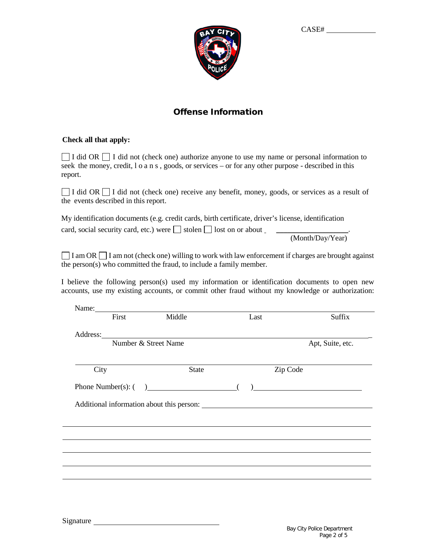

### Offense Information

#### **Check all that apply:**

 $\Box$  I did OR  $\Box$  I did not (check one) authorize anyone to use my name or personal information to seek the money, credit, l o a n s, goods, or services – or for any other purpose - described in this report.

 $\Box$  I did OR  $\Box$  I did not (check one) receive any benefit, money, goods, or services as a result of the events described in this report.

My identification documents (e.g. credit cards, birth certificate, driver's license, identification card, social security card, etc.) were stolen lost on or about \_\_\_\_\_\_\_\_\_\_\_\_\_\_\_\_\_\_\_.

(Month/Day/Year)

 $\Box$  I am OR  $\Box$  I am not (check one) willing to work with law enforcement if charges are brought against the person(s) who committed the fraud, to include a family member.

I believe the following person(s) used my information or identification documents to open new accounts, use my existing accounts, or commit other fraud without my knowledge or authorization:

| First |                      | Name: Name:<br>Middle  | Last | Suffix                                                                                                               |
|-------|----------------------|------------------------|------|----------------------------------------------------------------------------------------------------------------------|
|       |                      |                        |      |                                                                                                                      |
|       | Number & Street Name |                        |      | Apt, Suite, etc.                                                                                                     |
| City  |                      | <b>State</b>           |      | Zip Code                                                                                                             |
|       |                      |                        |      |                                                                                                                      |
|       |                      | Phone Number(s): $($ ) |      | <u> 1980 - Andrea Station Barbara, politik eta provincia eta provincia eta provincia eta provincia eta provincia</u> |
|       |                      |                        |      |                                                                                                                      |
|       |                      |                        |      |                                                                                                                      |
|       |                      |                        |      |                                                                                                                      |
|       |                      |                        |      |                                                                                                                      |
|       |                      |                        |      |                                                                                                                      |
|       |                      |                        |      |                                                                                                                      |
|       |                      |                        |      |                                                                                                                      |
|       |                      |                        |      |                                                                                                                      |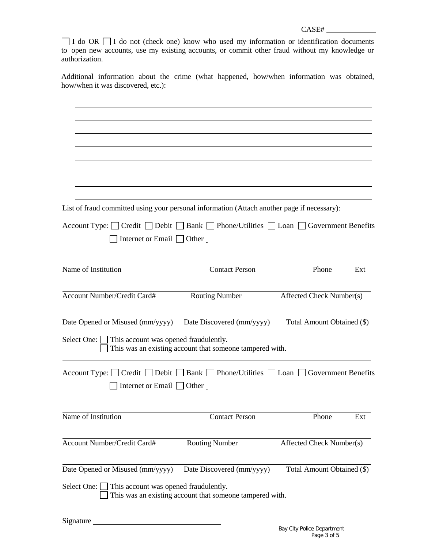$\Box$  I do OR  $\Box$  I do not (check one) know who used my information or identification documents to open new accounts, use my existing accounts, or commit other fraud without my knowledge or authorization.

Additional information about the crime (what happened, how/when information was obtained, how/when it was discovered, etc.):

| List of fraud committed using your personal information (Attach another page if necessary):                                                          |                                                          |                            |     |
|------------------------------------------------------------------------------------------------------------------------------------------------------|----------------------------------------------------------|----------------------------|-----|
| Account Type: $\Box$ Credit $\Box$ Debit $\Box$ Bank $\Box$ Phone/Utilities $\Box$ Loan $\Box$ Government Benefits<br>Internet or Email $\Box$ Other |                                                          |                            |     |
| Name of Institution                                                                                                                                  | <b>Contact Person</b>                                    | Phone                      | Ext |
| Account Number/Credit Card#                                                                                                                          | <b>Routing Number</b>                                    | Affected Check Number(s)   |     |
| Date Opened or Misused (mm/yyyy)                                                                                                                     | Date Discovered (mm/yyyy)                                | Total Amount Obtained (\$) |     |
| Select One: $\Box$ This account was opened fraudulently.                                                                                             | This was an existing account that someone tampered with. |                            |     |
| Account Type: $\Box$ Credit $\Box$ Debit $\Box$ Bank $\Box$ Phone/Utilities $\Box$ Loan $\Box$ Government Benefits                                   |                                                          |                            |     |
| Internet or Email $\Box$ Other                                                                                                                       |                                                          |                            |     |
| Name of Institution                                                                                                                                  | <b>Contact Person</b>                                    | Phone                      | Ext |
| Account Number/Credit Card#                                                                                                                          | <b>Routing Number</b>                                    | Affected Check Number(s)   |     |
| Date Opened or Misused (mm/yyyy)                                                                                                                     | Date Discovered (mm/yyyy)                                | Total Amount Obtained (\$) |     |
| Select One: $\Box$ This account was opened fraudulently.                                                                                             | This was an existing account that someone tampered with. |                            |     |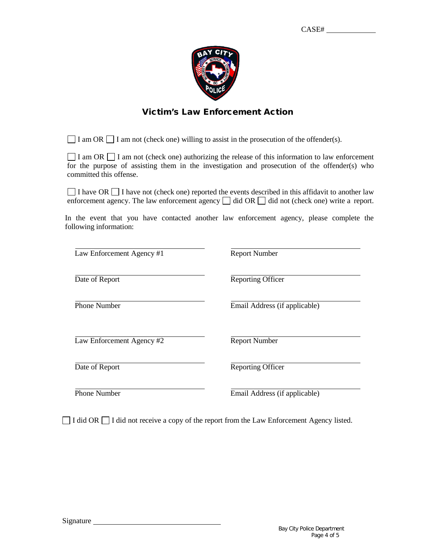

### Victim's Law Enforcement Action

 $\Box$  I am OR  $\Box$  I am not (check one) willing to assist in the prosecution of the offender(s).

 $\Box$  I am OR  $\Box$  I am not (check one) authorizing the release of this information to law enforcement for the purpose of assisting them in the investigation and prosecution of the offender(s) who committed this offense.

 $\Box$  I have OR  $\Box$  I have not (check one) reported the events described in this affidavit to another law enforcement agency. The law enforcement agency  $\Box$  did OR  $\Box$  did not (check one) write a report.

In the event that you have contacted another law enforcement agency, please complete the following information:

| Law Enforcement Agency #1 | <b>Report Number</b>          |
|---------------------------|-------------------------------|
| Date of Report            | <b>Reporting Officer</b>      |
| <b>Phone Number</b>       | Email Address (if applicable) |
| Law Enforcement Agency #2 | <b>Report Number</b>          |
| Date of Report            | <b>Reporting Officer</b>      |
|                           |                               |

 $\Box$  I did OR  $\Box$  I did not receive a copy of the report from the Law Enforcement Agency listed.

Phone Number **Email Address (if applicable)**